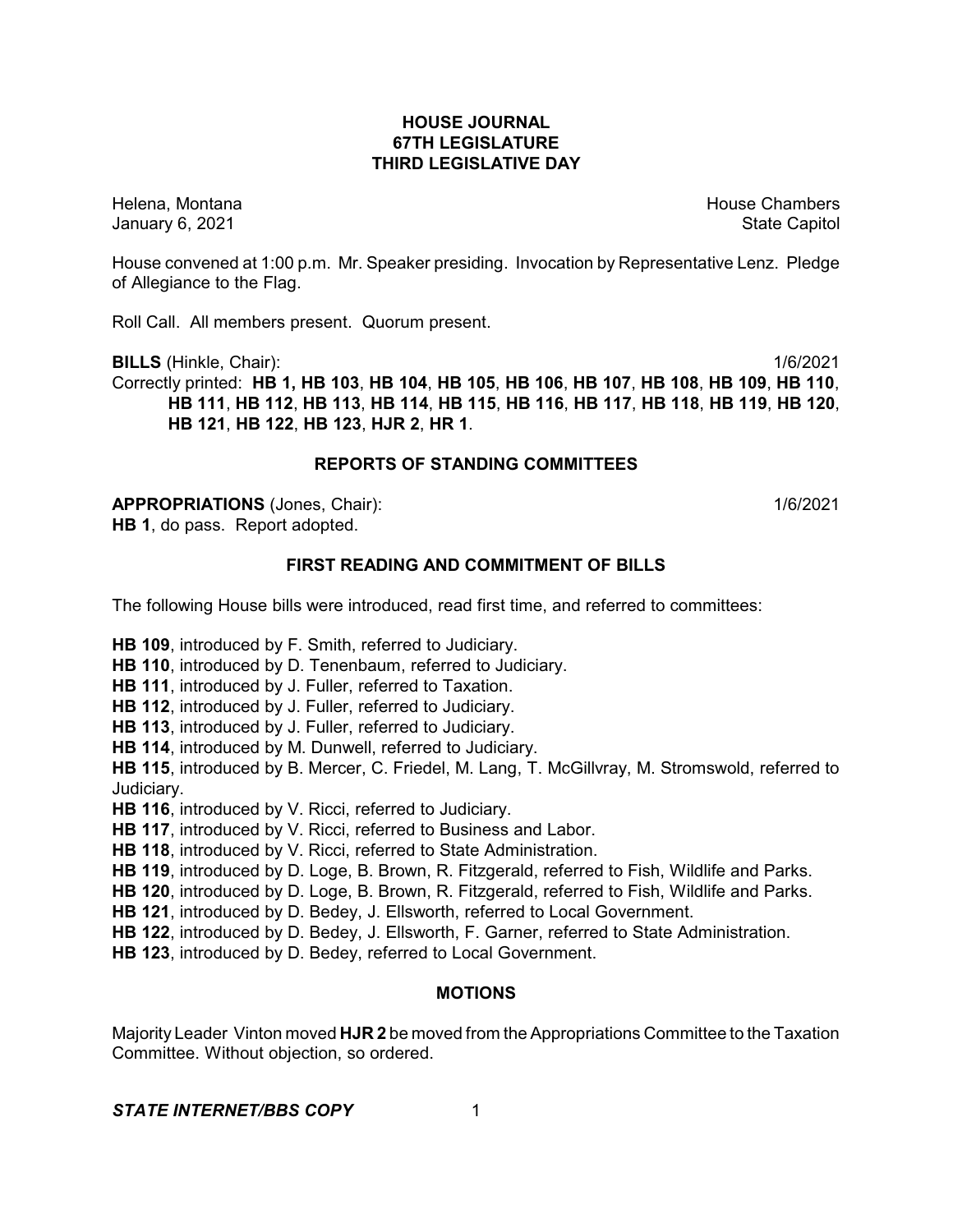#### **HOUSE JOURNAL 67TH LEGISLATURE THIRD LEGISLATIVE DAY**

Helena, Montana **House Chambers** House Chambers **House Chambers** House Chambers **House Chambers** January 6, 2021 **State Capitol** 

House convened at 1:00 p.m. Mr. Speaker presiding. Invocation by Representative Lenz. Pledge of Allegiance to the Flag.

Roll Call. All members present. Quorum present.

**BILLS** (Hinkle, Chair): 1/6/2021 Correctly printed: **HB 1, HB 103**, **HB 104**, **HB 105**, **HB 106**, **HB 107**, **HB 108**, **HB 109**, **HB 110**, **HB 111**, **HB 112**, **HB 113**, **HB 114**, **HB 115**, **HB 116**, **HB 117**, **HB 118**, **HB 119**, **HB 120**, **HB 121**, **HB 122**, **HB 123**, **HJR 2**, **HR 1**.

### **REPORTS OF STANDING COMMITTEES**

**APPROPRIATIONS** (Jones, Chair): 1/6/2021 **HB 1**, do pass. Report adopted.

# **FIRST READING AND COMMITMENT OF BILLS**

The following House bills were introduced, read first time, and referred to committees:

**HB 109**, introduced by F. Smith, referred to Judiciary.

**HB 110**, introduced by D. Tenenbaum, referred to Judiciary.

**HB 111**, introduced by J. Fuller, referred to Taxation.

**HB 112**, introduced by J. Fuller, referred to Judiciary.

**HB 113**, introduced by J. Fuller, referred to Judiciary.

**HB 114**, introduced by M. Dunwell, referred to Judiciary.

**HB 115**, introduced by B. Mercer, C. Friedel, M. Lang, T. McGillvray, M. Stromswold, referred to Judiciary.

**HB 116**, introduced by V. Ricci, referred to Judiciary.

**HB 117**, introduced by V. Ricci, referred to Business and Labor.

**HB 118**, introduced by V. Ricci, referred to State Administration.

**HB 119**, introduced by D. Loge, B. Brown, R. Fitzgerald, referred to Fish, Wildlife and Parks.

**HB 120**, introduced by D. Loge, B. Brown, R. Fitzgerald, referred to Fish, Wildlife and Parks.

**HB 121**, introduced by D. Bedey, J. Ellsworth, referred to Local Government.

**HB 122**, introduced by D. Bedey, J. Ellsworth, F. Garner, referred to State Administration.

**HB 123**, introduced by D. Bedey, referred to Local Government.

## **MOTIONS**

Majority Leader Vinton moved **HJR 2** be moved from the Appropriations Committee to the Taxation Committee. Without objection, so ordered.

## **STATE INTERNET/BBS COPY** 1